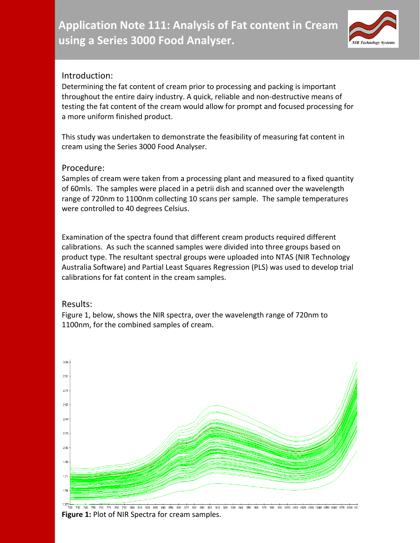

## Introduction:

Determining the fat content of cream prior to processing and packing is important throughout the entire dairy industry. A quick, reliable and non-destructive means of testing the fat content of the cream would allow for prompt and focused processing for a more uniform finished product.

This study was undertaken to demonstrate the feasibility of measuring fat content in cream using the Series 3000 Food Analyser.

## Procedure:

Samples of cream were taken from a processing plant and measured to a fixed quantity of 60mls. The samples were placed in a petrii dish and scanned over the wavelength range of 720nm to 1100nm collecting 10 scans per sample. The sample temperatures were controlled to 40 degrees Celsius.

Examination of the spectra found that different cream products required different calibrations. As such the scanned samples were divided into three groups based on product type. The resultant spectral groups were uploaded into NTAS (NIR Technology Australia Software) and Partial Least Squares Regression (PLS) was used to develop trial calibrations for fat content in the cream samples.

## Results:

Figure 1, below, shows the NIR spectra, over the wavelength range of 720nm to 1100nm, for the combined samples of cream.



**Figure 1:** Plot of NIR Spectra for cream samples.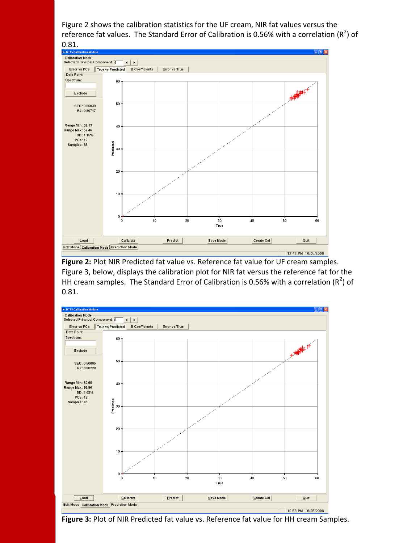Figure 2 shows the calibration statistics for the UF cream, NIR fat values versus the reference fat values. The Standard Error of Calibration is 0.56% with a correlation (R<sup>2</sup>) of 0.81.



**Figure 2:** Plot NIR Predicted fat value vs. Reference fat value for UF cream samples. Figure 3, below, displays the calibration plot for NIR fat versus the reference fat for the HH cream samples. The Standard Error of Calibration is 0.56% with a correlation (R<sup>2</sup>) of 0.81.